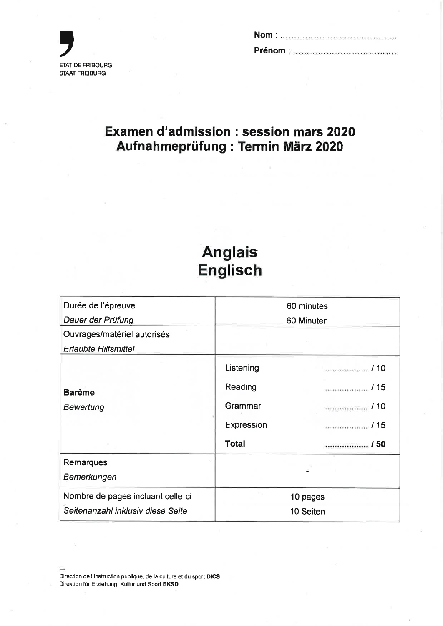

# Examen d'admission : session mars 2020 Aufnahmeprüfung : Termin März 2020

# Anglais Englisch

| Durée de l'épreuve                | 60 minutes   |        |  |  |  |  |  |  |
|-----------------------------------|--------------|--------|--|--|--|--|--|--|
| Dauer der Prüfung                 | 60 Minuten   |        |  |  |  |  |  |  |
| Ouvrages/matériel autorisés       |              |        |  |  |  |  |  |  |
| <b>Erlaubte Hilfsmittel</b>       |              |        |  |  |  |  |  |  |
|                                   | Listening    |        |  |  |  |  |  |  |
| <b>Barème</b>                     | Reading      |        |  |  |  |  |  |  |
| Bewertung                         | Grammar      | . / 10 |  |  |  |  |  |  |
|                                   | Expression   |        |  |  |  |  |  |  |
|                                   | <b>Total</b> | / 50   |  |  |  |  |  |  |
| Remarques                         |              |        |  |  |  |  |  |  |
| Bemerkungen                       |              |        |  |  |  |  |  |  |
| Nombre de pages incluant celle-ci | 10 pages     |        |  |  |  |  |  |  |
| Seitenanzahl inklusiv diese Seite | 10 Seiten    |        |  |  |  |  |  |  |

Direction de I'instruction publique, de la culture et du sport DICS Direktion für Erziehung, Kultur und Sport EKSD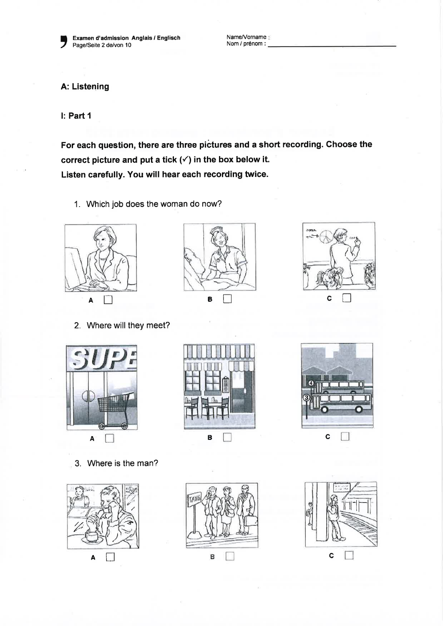Name/Vorname: Nom / prénom :

# A: Listening

l: Part <sup>1</sup>

,

For each question, there are three pictures and a short recording. Choose the correct picture and put a tick  $(\checkmark)$  in the box below it. Listen carefully. You will hear each recording twice.

1. Which job does the woman do now?



2. Where will they meet?



3. Where is the man?







 $\zeta$ 

 $\begin{array}{ccc} & & & & \text{c} \ \Box & & & & \text{c} \end{array}$ 

.,<br>'798 'ert



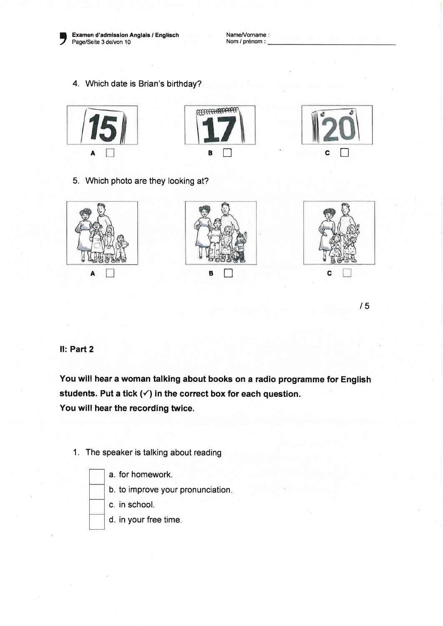

Examen d'admission Anglais / Englisch Page/Seite 3 de/von 10

Name/Vorname: Nom / prénom :

4. Which date is Brian's birthday?







5. Which photo are they looking at?



t5

#### Il: Part 2

You will hear a woman talking about books on a radio programme for English students. Put a tick  $(\checkmark)$  in the correct box for each question. You will hear the recording twice.

1. The speaker is talking about reading

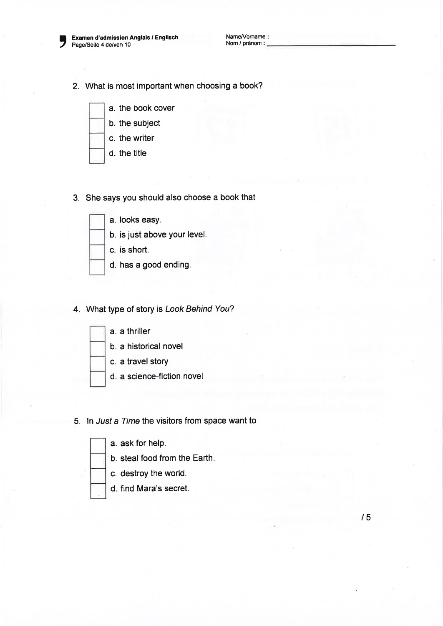

Examen d'admission Anglais / Englisch Page/Seite 4 de/von 10

2. What is most important when choosing a book?



- b. the subject
- c. the writer
- d. the title
- 3. She says you should also choose a book that



# 4. What type of story is Look Behind You?



## 5. ln Jusf a Time the visitors from space want to

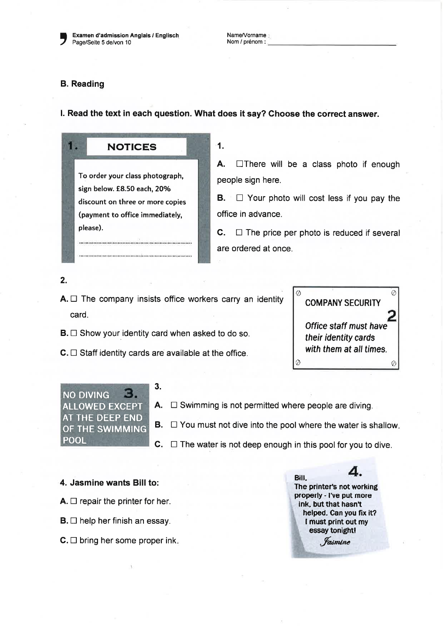Examen d'admission Anglais / Englisch Page/Seite 5 de/von 10

Name/Vorname : Nom / prénom :

## B. Reading

16

l. Read the text in each question. What does it say? Choose the correct answer.

To order your class photograph, sign below. £8.50 each, 20% discount on three or more copies (payment to office immediately, please).

NOTICES

1.

A.  $\Box$  There will be a class photo if enough people sign here.

 $B.$   $\Box$  Your photo will cost less if you pay the office in advance.

**C.**  $\Box$  The price per photo is reduced if several are ordered at once.

2.

- $A. \Box$  The company insists office workers carry an identity card.
- $B. \Box$  Show your identity card when asked to do so.
- $C. \Box$  Staff identity cards are available at the office.





- A.  $\Box$  Swimming is not permitted where people are diving.
- **B.**  $\Box$  You must not dive into the pool where the water is shallow.
- $C. \Box$  The water is not deep enough in this pool for you to dive.

4. Jasmine wants Bill to:

- $A. \Box$  repair the printer for her.
- $B. \Box$  help her finish an essay.
- $C. \Box$  bring her some proper ink.

Bill.  $4'$ The printer's not working properly - I've put more ink, but that hasn't helped. Can you fix it? I must print out my essay tonightl *<i>fasmine*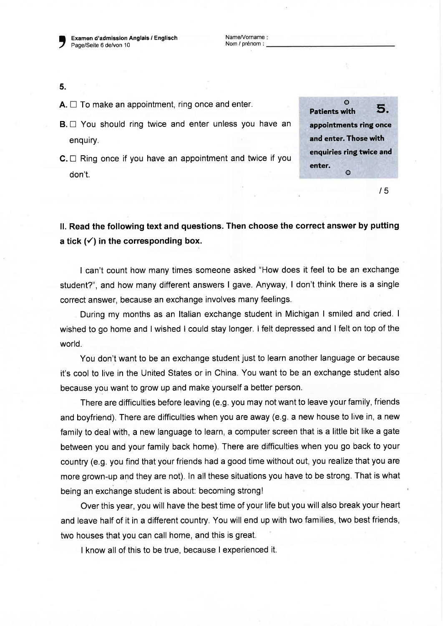Examen d'admission Anglais / Englisch Page/Seite 6 de/von 10

Name/Vorname Nom / prénom :

5.

- $A. \Box$  To make an appointment, ring once and enter.
- $B. \Box$  You should ring twice and enter unless you have an enquiry.
- $C \square$  Ring once if you have an appointment and twice if you don't.

 $\circ$  Datients with 5. appointments ring once and enter. Those with enqulries ring twlce and enter.  $\Omega$ 

 $/5$ 

ll. Read the following text and questions. Then choose the correct answer by putting a tick  $(\checkmark)$  in the corresponding box.

I can't count how many times someone asked "How does it feel to be an exchange student?", and how many different answers I gave. Anyway, I don't think there is a single correct answer, because an exchange involves many feelings.

During my months as an ltalian exchange student in Michigan I smiled and cried. <sup>I</sup> wished to go home and I wished I could stay longer. I felt depressed and I felt on top of the world.

You don't want to be an exchange student just to learn another language or because it's cool to live in the United States or in China. You want to be an exchange student also because you want to grow up and make yourself a better person.

There are difficulties before leaving (e.9. you may not want to leave your family, friends and boyfriend). There are difficulties when you are away (e.g. a new house to live in, a new family to deal with, a new language to learn, a computer screen that is a little bit like a gate between you and your family back home). There are difficulties when you go back to your country (e.g. you find that your friends had a good time without out, you realize that you are more grown-up and they are not). ln all these situations you have to be strong. That is what being an exchange student is about: becoming strong!

Over this year, you will have the best time of your life but you will also break your heart and leave half of it in a different country. You will end up with two families, two best friends, two houses that you can call home, and this is great.

I know all of this to be true, because I experienced it.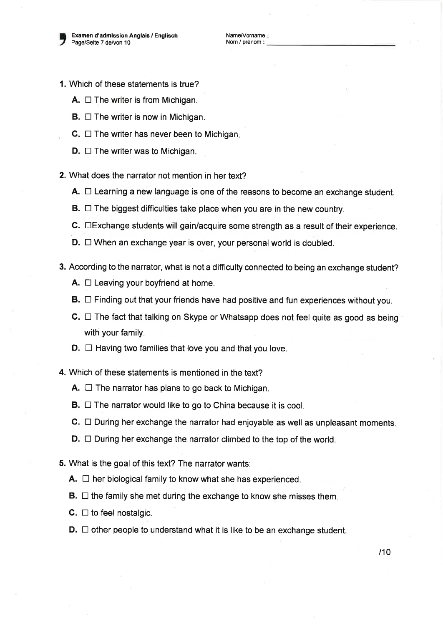)

- 1. Which of these statements is true?
	- **A.**  $\Box$  The writer is from Michigan.
	- **B.**  $\Box$  The writer is now in Michigan.
	- $C.$   $\Box$  The writer has never been to Michigan.
	- $D. \Box$  The writer was to Michigan.
- 2. What does the narrator not mention in her text?
	- **A.**  $\Box$  Learning a new language is one of the reasons to become an exchange student.
	- **B.**  $\Box$  The biggest difficulties take place when you are in the new country.
	- $C.$   $\square$  Exchange students will gain/acquire some strength as a result of their experience.
	- $D. \Box$  When an exchange year is over, your personal world is doubled.
- 3. According to the narrator, what is not a difficulty connected to being an exchange student?
	- **A.**  $\Box$  Leaving your boyfriend at home.
	- $B. \Box$  Finding out that your friends have had positive and fun experiences without you.
	- $C. \Box$  The fact that talking on Skype or Whatsapp does not feel quite as good as being with your family.
	- $D. \Box$  Having two families that love you and that you love.
- 4. Which of these statements is mentioned in the text?
	- **A.**  $\Box$  The narrator has plans to go back to Michigan.
	- **B.**  $\Box$  The narrator would like to go to China because it is cool.
	- $C. \Box$  During her exchange the narrator had enjoyable as well as unpleasant moments.
	- $D. \Box$  During her exchange the narrator climbed to the top of the world.
- 5. What is the goal of this text? The narrator wants:
	- $A. \Box$  her biological family to know what she has experienced.
	- $\mathbf{B}$ .  $\Box$  the family she met during the exchange to know she misses them.
	- **C.**  $\Box$  to feel nostalgic.
	- $D. \Box$  other people to understand what it is like to be an exchange student.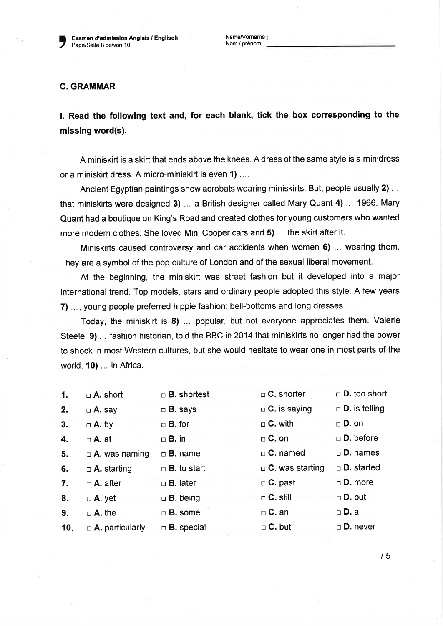Examen d'admission Anglais / Englisch Page/Seite 8 de/von 10

Name/Vorname: Nom / prénom

#### C. GRAMMAR

)

l. Read the following text and, for each blank, tick the box corresponding to the missing word(s).

A miniskirt is a skirt that ends above the knees. A dress of the same style is a minidress or a miniskirt dress. A micro-miniskirt is even 1) ....

Ancient Egyptian paintings show acrobats wearing miniskirts. But, people usually 2) ... that miniskirts were designed 3) ... a British designer called Mary Quant 4) ... 1966. Mary Quant had a boutique on King's Road and created clothes for young customers who wanted more modern clothes. She loved Mini Cooper cars and 5) ... the skirt after it.

Miniskirts caused controversy and car accidents when women 6) ... wearing them. They are a symbol of the pop culture of London and of the sexual liberal movement.

At the beginning, the miniskirt was street fashion but it developed into a major international trend. Top models, stars and ordinary people adopted this style. A few years 7) ..., young people preferred hippie fashion: bell-bottoms and long dresses.

Today, the miniskirt is 8) ... popular, but not everyone appreciates them. Valerie Steele, 9) ... fashion historian, told the BBC in 2014 that miniskirts no longer had the power to shock in most Western cultures, but she would hesitate to wear one in most parts of the world, 10) ... in Africa.

| $\mathbf 1$ . | $\Box$ A. short             | $\Box$ <b>B.</b> shortest | $\Box$ C. shorter      | $\Box$ <b>D.</b> too short  |
|---------------|-----------------------------|---------------------------|------------------------|-----------------------------|
| 2.            | $\Box$ A. say               | $\Box$ <b>B.</b> says     | $\Box$ C. is saying    | $\Box$ <b>D.</b> is telling |
| 3.            | $\Box$ A. by                | $\Box$ <b>B.</b> for      | $\Box$ C. with         | $\Box$ D. on                |
| 4.            | $\Box$ A. at                | $\Box$ <b>B.</b> in       | $\Box$ C. on           | $\Box$ <b>D.</b> before     |
| 5.            | $\Box$ <b>A.</b> was naming | $\Box$ <b>B.</b> name     | $\Box$ C. named        | $\square$ <b>D.</b> names   |
| 6.            | $\Box$ A. starting          | $\Box$ <b>B.</b> to start | $\Box$ C. was starting | $\Box$ D. started           |
| 7.            | $\Box$ A. after             | $\Box$ <b>B.</b> later    | $\Box$ C. past         | $\Box$ D. more              |
| 8.            | $\Box$ A. yet               | $\Box$ <b>B.</b> being    | $\Box$ C. still        | $\Box$ D. but               |
| 9.            | $\Box$ A. the               | $\Box$ <b>B.</b> some     | $\Box$ C. an           | $\Box$ D. a                 |
| 10.           | $\Box$ A. particularly      | $\Box$ B. special         | $\Box$ C. but          | □ <b>D.</b> never           |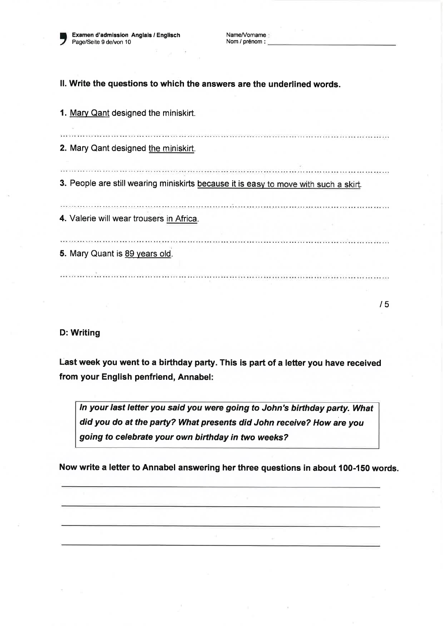Examen d'admission Anglais / Englisch Page/Seite 9 de/von 10

,

Name/Vorname: Nom / prénom :

ll. Write the questions to which the answers are the underlined words.

1. Mary Qant designed the miniskirt.

2. Mary Qant designed the miniskirt.

3. People are still wearing miniskirts because it is easy to move with such a skirt.

4. Valerie will wear trousers in Africa.

5. Mary Quant is 89 vears old.

o como no la como nome animana nome animana na managazia animana animana animana animana na managa

.<br>And handbook hand a later and one of the language are a respective assessed to the later and the constitutions of the second respectively.

l5

#### D: Writing

Last week you went to a birthday party.This is part of a letter you have received from your English penfriend, Annabel:

In your last letter you said you were going to John's birthday party. What did you do at the party? What presents did John receive? How are you going to celebrate your own birthday in two weeks?

Now write a letter to Annabel answering her three questions in about 100-150 words.